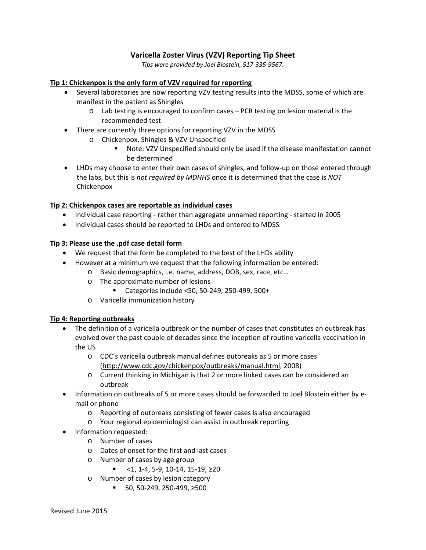# **Varicella Zoster Virus (VZV) Reporting Tip Sheet**

*Tips were provided by Joel Blostein, 517-335-9567.*

#### **Tip 1: Chickenpox is the only form of VZV required for reporting**

- Several laboratories are now reporting VZV testing results into the MDSS, some of which are manifest in the patient as Shingles
	- o Lab testing is encouraged to confirm cases PCR testing on lesion material is the recommended test
- There are currently three options for reporting VZV in the MDSS
	- o Chickenpox, Shingles & VZV Unspecified
		- Note: VZV Unspecified should only be used if the disease manifestation cannot be determined
- LHDs may choose to enter their own cases of shingles, and follow-up on those entered through the labs, but this is *not required by MDHHS* once it is determined that the case is *NOT*  Chickenpox

### **Tip 2: Chickenpox cases are reportable as individual cases**

- Individual case reporting rather than aggregate unnamed reporting started in 2005
- Individual cases should be reported to LHDs and entered to MDSS

### **Tip 3: Please use the .pdf case detail form**

- We request that the form be completed to the best of the LHDs ability
- However at a minimum we request that the following information be entered:
	- o Basic demographics, i.e. name, address, DOB, sex, race, etc…
		- o The approximate number of lesions
			- Categories include <50, 50-249, 250-499, 500+
		- o Varicella immunization history

### **Tip 4: Reporting outbreaks**

- The definition of a varicella outbreak or the number of cases that constitutes an outbreak has evolved over the past couple of decades since the inception of routine varicella vaccination in the US
	- o CDC's varicella outbreak manual defines outbreaks as 5 or more cases [\(http://www.cdc.gov/chickenpox/outbreaks/manual.html,](http://www.cdc.gov/chickenpox/outbreaks/manual.html) 2008)
	- o Current thinking in Michigan is that 2 or more linked cases can be considered an outbreak
- Information on outbreaks of 5 or more cases should be forwarded to Joel Blostein either by email or phone
	- o Reporting of outbreaks consisting of fewer cases is also encouraged
	- o Your regional epidemiologist can assist in outbreak reporting
- Information requested:
	- o Number of cases
	- o Dates of onset for the first and last cases
	- o Number of cases by age group
		- $\leq$  1, 1-4, 5-9, 10-14, 15-19, ≥20
	- o Number of cases by lesion category
		- 50, 50-249, 250-499, ≥500